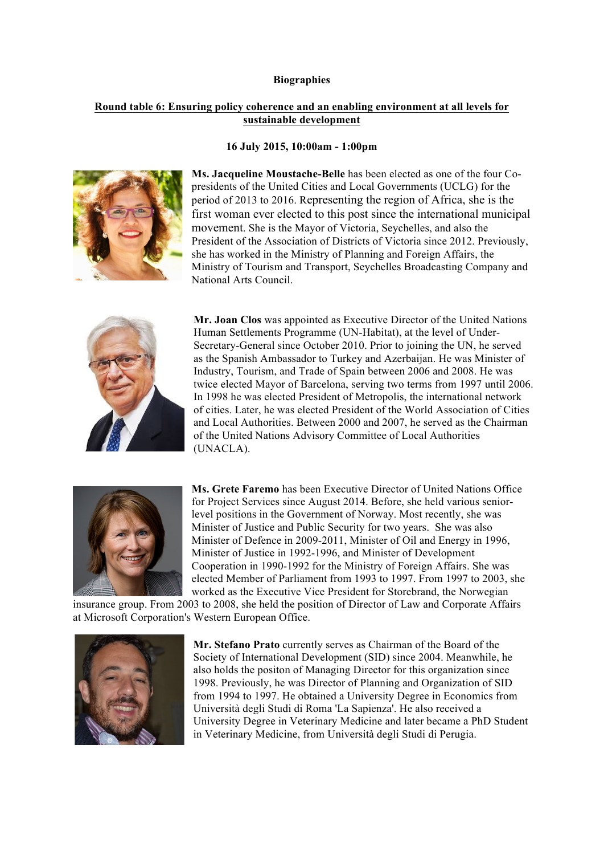## **Biographies**

## **Round table 6: Ensuring policy coherence and an enabling environment at all levels for sustainable development**

## **16 July 2015, 10:00am - 1:00pm**



**Ms. Jacqueline Moustache-Belle** has been elected as one of the four Copresidents of the United Cities and Local Governments (UCLG) for the period of 2013 to 2016. Representing the region of Africa, she is the first woman ever elected to this post since the international municipal movement. She is the Mayor of Victoria, Seychelles, and also the President of the Association of Districts of Victoria since 2012. Previously, she has worked in the Ministry of Planning and Foreign Affairs, the Ministry of Tourism and Transport, Seychelles Broadcasting Company and National Arts Council.



**Mr. Joan Clos** was appointed as Executive Director of the United Nations Human Settlements Programme (UN-Habitat), at the level of Under-Secretary-General since October 2010. Prior to joining the UN, he served as the Spanish Ambassador to Turkey and Azerbaijan. He was Minister of Industry, Tourism, and Trade of Spain between 2006 and 2008. He was twice elected Mayor of Barcelona, serving two terms from 1997 until 2006. In 1998 he was elected President of Metropolis, the international network of cities. Later, he was elected President of the World Association of Cities and Local Authorities. Between 2000 and 2007, he served as the Chairman of the United Nations Advisory Committee of Local Authorities (UNACLA).



**Ms. Grete Faremo** has been Executive Director of United Nations Office for Project Services since August 2014. Before, she held various seniorlevel positions in the Government of Norway. Most recently, she was Minister of Justice and Public Security for two years. She was also Minister of Defence in 2009-2011, Minister of Oil and Energy in 1996, Minister of Justice in 1992-1996, and Minister of Development Cooperation in 1990-1992 for the Ministry of Foreign Affairs. She was elected Member of Parliament from 1993 to 1997. From 1997 to 2003, she worked as the Executive Vice President for Storebrand, the Norwegian

insurance group. From 2003 to 2008, she held the position of Director of Law and Corporate Affairs at Microsoft Corporation's Western European Office.



**Mr. Stefano Prato** currently serves as Chairman of the Board of the Society of International Development (SID) since 2004. Meanwhile, he also holds the positon of Managing Director for this organization since 1998. Previously, he was Director of Planning and Organization of SID from 1994 to 1997. He obtained a University Degree in Economics from Università degli Studi di Roma 'La Sapienza'. He also received a University Degree in Veterinary Medicine and later became a PhD Student in Veterinary Medicine, from Università degli Studi di Perugia.